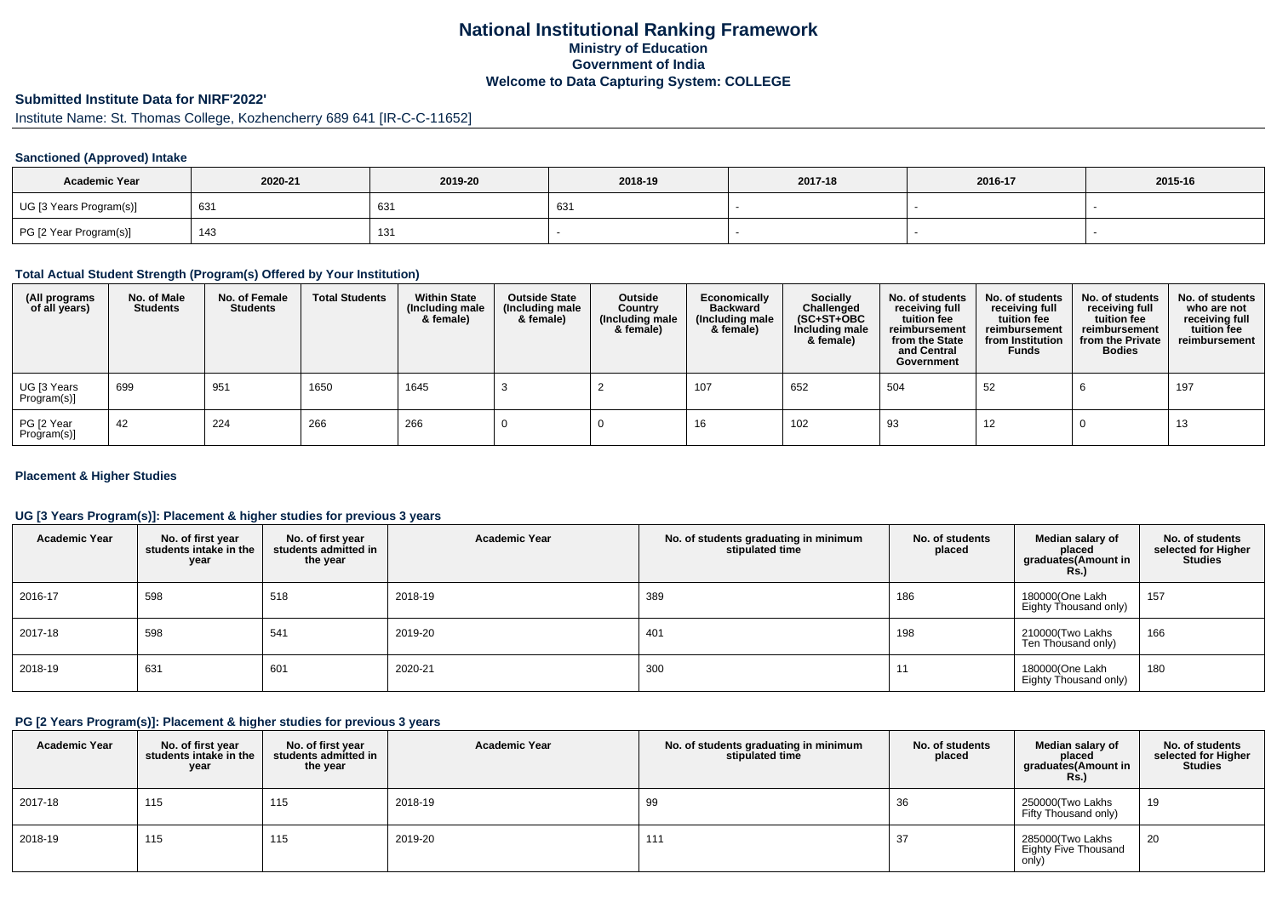### **National Institutional Ranking FrameworkMinistry of Education Government of IndiaWelcome to Data Capturing System: COLLEGE**

# **Submitted Institute Data for NIRF'2022'**

## Institute Name: St. Thomas College, Kozhencherry 689 641 [IR-C-C-11652]

#### **Sanctioned (Approved) Intake**

| <b>Academic Year</b>    | 2020-21 | 2019-20 | 2018-19 | 2017-18 | 2016-17 | 2015-16 |
|-------------------------|---------|---------|---------|---------|---------|---------|
| UG [3 Years Program(s)] | 631     | 631     | 63.     |         |         |         |
| PG [2 Year Program(s)]  | 143     | 131     |         |         |         |         |

#### **Total Actual Student Strength (Program(s) Offered by Your Institution)**

| (All programs<br>of all years) | No. of Male<br><b>Students</b> | No. of Female<br><b>Students</b> | <b>Total Students</b> | <b>Within State</b><br>(Including male<br>& female) | <b>Outside State</b><br>(Including male<br>& female) | Outside<br>Country<br>(Including male<br>& female) | Economically<br><b>Backward</b><br>(Including male<br>& female) | Socially<br>Challenged<br>$(SC+ST+OBC)$<br>Including male<br>& female) | No. of students<br>receiving full<br>tuition fee<br>reimbursement<br>from the State<br>and Central<br>Government | No. of students<br>receiving full<br>tuition fee<br>reimbursement<br>from Institution<br><b>Funds</b> | No. of students<br>receiving full<br>tuition fee<br>reimbursement<br>from the Private<br><b>Bodies</b> | No. of students<br>who are not<br>receiving full<br>tuition fee<br>reimbursement |
|--------------------------------|--------------------------------|----------------------------------|-----------------------|-----------------------------------------------------|------------------------------------------------------|----------------------------------------------------|-----------------------------------------------------------------|------------------------------------------------------------------------|------------------------------------------------------------------------------------------------------------------|-------------------------------------------------------------------------------------------------------|--------------------------------------------------------------------------------------------------------|----------------------------------------------------------------------------------|
| UG [3 Years<br>Program(s)]     | 699                            | 951                              | 1650                  | 1645                                                |                                                      |                                                    | 107                                                             | 652                                                                    | 504                                                                                                              | 52                                                                                                    |                                                                                                        | 197                                                                              |
| PG [2 Year<br>Program(s)]      | -42                            | 224                              | 266                   | 266                                                 |                                                      |                                                    | 16                                                              | 102                                                                    | 93                                                                                                               | 12                                                                                                    |                                                                                                        | 13                                                                               |

#### **Placement & Higher Studies**

#### **UG [3 Years Program(s)]: Placement & higher studies for previous 3 years**

| <b>Academic Year</b> | No. of first year<br>students intake in the<br>year | No. of first year<br>students admitted in<br>the year | <b>Academic Year</b> | No. of students graduating in minimum<br>stipulated time | No. of students<br>placed | Median salary of<br>placed<br>graduates(Amount in<br><b>Rs.)</b> | No. of students<br>selected for Higher<br><b>Studies</b> |
|----------------------|-----------------------------------------------------|-------------------------------------------------------|----------------------|----------------------------------------------------------|---------------------------|------------------------------------------------------------------|----------------------------------------------------------|
| 2016-17              | 598                                                 | 518                                                   | 2018-19              | 389                                                      | 186                       | 180000(One Lakh<br>Eighty Thousand only)                         | 157                                                      |
| 2017-18              | 598                                                 | 541                                                   | 2019-20              | 401                                                      | 198                       | 210000(Two Lakhs<br>Ten Thousand only)                           | 166                                                      |
| 2018-19              | 631                                                 | 601                                                   | 2020-21              | 300                                                      | 11                        | 180000(One Lakh<br>Eighty Thousand only)                         | 180                                                      |

#### **PG [2 Years Program(s)]: Placement & higher studies for previous 3 years**

| <b>Academic Year</b> | No. of first year<br>students intake in the<br>year | No. of first vear<br>students admitted in<br>the year | <b>Academic Year</b> | No. of students graduating in minimum<br>stipulated time | No. of students<br>placed | Median salary of<br>placed<br>graduates(Amount in<br><b>Rs.)</b> | No. of students<br>selected for Higher<br><b>Studies</b> |
|----------------------|-----------------------------------------------------|-------------------------------------------------------|----------------------|----------------------------------------------------------|---------------------------|------------------------------------------------------------------|----------------------------------------------------------|
| 2017-18              | 115                                                 | 115                                                   | 2018-19              | 99                                                       | 36                        | 250000(Two Lakhs<br>Fifty Thousand only)                         | 19                                                       |
| 2018-19              | 115                                                 | 115                                                   | 2019-20              | 111                                                      | 37                        | 285000(Two Lakhs<br>Eighty Five Thousand<br>only)                | 20                                                       |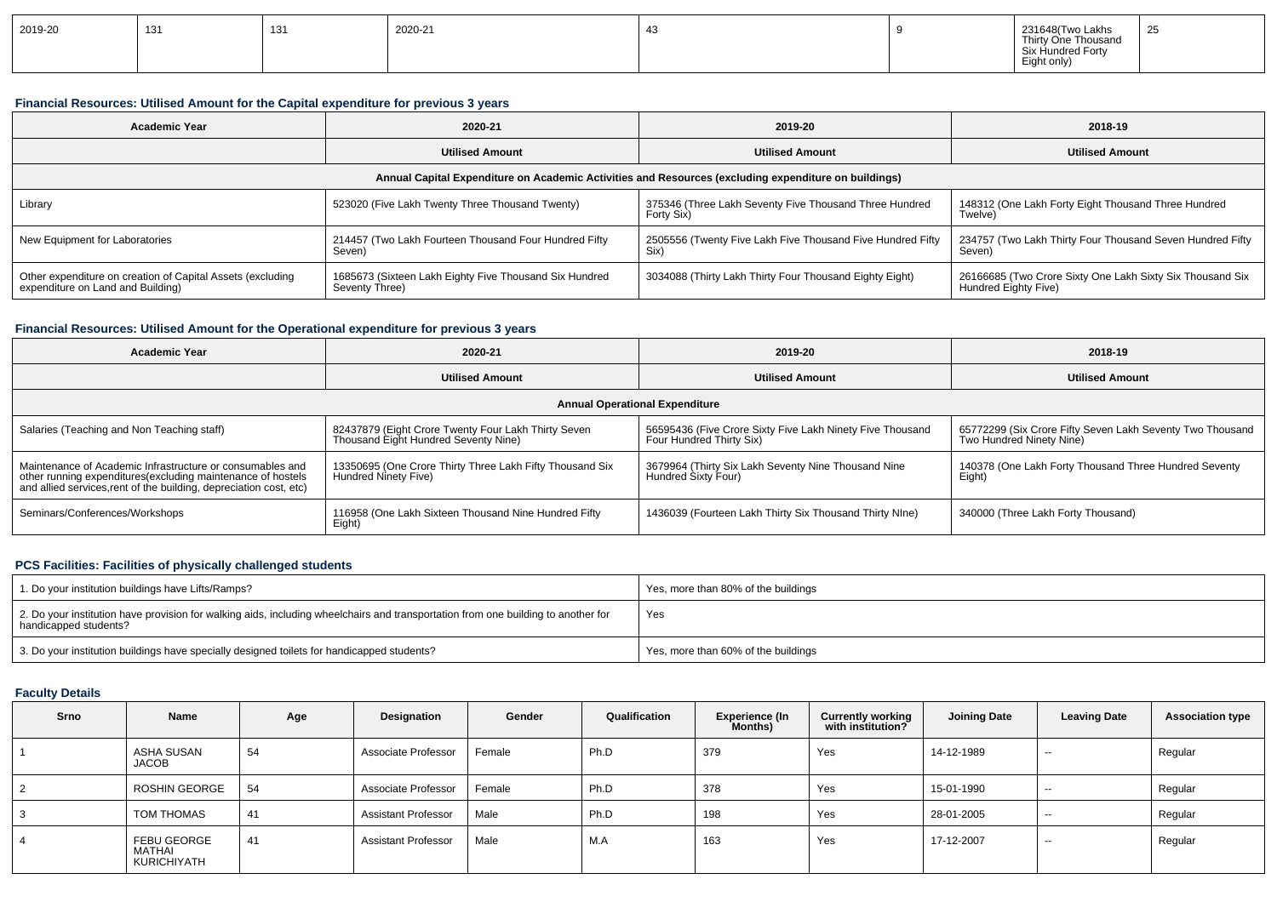| 2019-20<br>131<br>131<br>101 | 2020-21 |  |  | 231648(Two Lakhs<br>Thirty One Thousand<br>Six Hundred Forty<br>Eight only) | 25 |
|------------------------------|---------|--|--|-----------------------------------------------------------------------------|----|
|------------------------------|---------|--|--|-----------------------------------------------------------------------------|----|

#### **Financial Resources: Utilised Amount for the Capital expenditure for previous 3 years**

| <b>Academic Year</b>                                                                                 | 2020-21                                                                  | 2019-20                                                              | 2018-19                                                                           |  |  |  |  |  |  |  |  |
|------------------------------------------------------------------------------------------------------|--------------------------------------------------------------------------|----------------------------------------------------------------------|-----------------------------------------------------------------------------------|--|--|--|--|--|--|--|--|
|                                                                                                      | <b>Utilised Amount</b>                                                   | <b>Utilised Amount</b>                                               | <b>Utilised Amount</b>                                                            |  |  |  |  |  |  |  |  |
| Annual Capital Expenditure on Academic Activities and Resources (excluding expenditure on buildings) |                                                                          |                                                                      |                                                                                   |  |  |  |  |  |  |  |  |
| Library                                                                                              | 523020 (Five Lakh Twenty Three Thousand Twenty)                          | 375346 (Three Lakh Seventy Five Thousand Three Hundred<br>Forty Six) | 148312 (One Lakh Forty Eight Thousand Three Hundred<br>Twelve)                    |  |  |  |  |  |  |  |  |
| New Equipment for Laboratories                                                                       | 214457 (Two Lakh Fourteen Thousand Four Hundred Fifty<br>Seven)          | 2505556 (Twenty Five Lakh Five Thousand Five Hundred Fifty<br>Six)   | 234757 (Two Lakh Thirty Four Thousand Seven Hundred Fifty<br>Seven)               |  |  |  |  |  |  |  |  |
| Other expenditure on creation of Capital Assets (excluding<br>expenditure on Land and Building)      | 1685673 (Sixteen Lakh Eighty Five Thousand Six Hundred<br>Seventy Three) | 3034088 (Thirty Lakh Thirty Four Thousand Eighty Eight)              | 26166685 (Two Crore Sixty One Lakh Sixty Six Thousand Six<br>Hundred Eighty Five) |  |  |  |  |  |  |  |  |

#### **Financial Resources: Utilised Amount for the Operational expenditure for previous 3 years**

| <b>Academic Year</b>                                                                                                                                                                           | 2020-21                                                                                     | 2019-20                                                                               | 2018-19                                                                               |  |  |  |  |  |  |  |
|------------------------------------------------------------------------------------------------------------------------------------------------------------------------------------------------|---------------------------------------------------------------------------------------------|---------------------------------------------------------------------------------------|---------------------------------------------------------------------------------------|--|--|--|--|--|--|--|
|                                                                                                                                                                                                | <b>Utilised Amount</b>                                                                      | <b>Utilised Amount</b>                                                                | <b>Utilised Amount</b>                                                                |  |  |  |  |  |  |  |
| <b>Annual Operational Expenditure</b>                                                                                                                                                          |                                                                                             |                                                                                       |                                                                                       |  |  |  |  |  |  |  |
| Salaries (Teaching and Non Teaching staff)                                                                                                                                                     | 82437879 (Eight Crore Twenty Four Lakh Thirty Seven<br>Thousand Eight Hundred Seventy Nine) | 56595436 (Five Crore Sixty Five Lakh Ninety Five Thousand<br>Four Hundred Thirty Six) | 65772299 (Six Crore Fifty Seven Lakh Seventy Two Thousand<br>Two Hundred Ninety Nine) |  |  |  |  |  |  |  |
| Maintenance of Academic Infrastructure or consumables and<br>other running expenditures(excluding maintenance of hostels<br>and allied services, rent of the building, depreciation cost, etc) | 13350695 (One Crore Thirty Three Lakh Fifty Thousand Six<br>Hundred Ninety Five)            | 3679964 (Thirty Six Lakh Seventy Nine Thousand Nine<br>Hundred Sixty Four)            | 140378 (One Lakh Forty Thousand Three Hundred Seventy<br>Eight)                       |  |  |  |  |  |  |  |
| Seminars/Conferences/Workshops                                                                                                                                                                 | 116958 (One Lakh Sixteen Thousand Nine Hundred Fifty<br>Eight)                              | 1436039 (Fourteen Lakh Thirty Six Thousand Thirty NIne)                               | 340000 (Three Lakh Forty Thousand)                                                    |  |  |  |  |  |  |  |

#### **PCS Facilities: Facilities of physically challenged students**

| 1. Do your institution buildings have Lifts/Ramps?                                                                                                         | Yes, more than 80% of the buildings |
|------------------------------------------------------------------------------------------------------------------------------------------------------------|-------------------------------------|
| 2. Do your institution have provision for walking aids, including wheelchairs and transportation from one building to another for<br>handicapped students? | Yes                                 |
| 3. Do your institution buildings have specially designed toilets for handicapped students?                                                                 | Yes, more than 60% of the buildings |

### **Faculty Details**

| Srno | <b>Name</b>                          | Age | Designation                | Gender | Qualification | <b>Experience (In</b><br>Months) | <b>Currently working</b><br>with institution? | <b>Joining Date</b> | <b>Leaving Date</b> | <b>Association type</b> |
|------|--------------------------------------|-----|----------------------------|--------|---------------|----------------------------------|-----------------------------------------------|---------------------|---------------------|-------------------------|
|      | ASHA SUSAN<br><b>JACOB</b>           | 54  | Associate Professor        | Female | Ph.D          | 379                              | Yes                                           | 14-12-1989          | $- -$               | Regular                 |
|      | ROSHIN GEORGE                        | 54  | Associate Professor        | Female | Ph.D          | 378                              | Yes                                           | 15-01-1990          | $- -$               | Regular                 |
| 3    | TOM THOMAS                           | 41  | <b>Assistant Professor</b> | Male   | Ph.D          | 198                              | Yes                                           | 28-01-2005          | $- -$               | Regular                 |
| 4    | FEBU GEORGE<br>MATHAI<br>KURICHIYATH | 41  | <b>Assistant Professor</b> | Male   | M.A           | 163                              | Yes                                           | 17-12-2007          | $- -$               | Regular                 |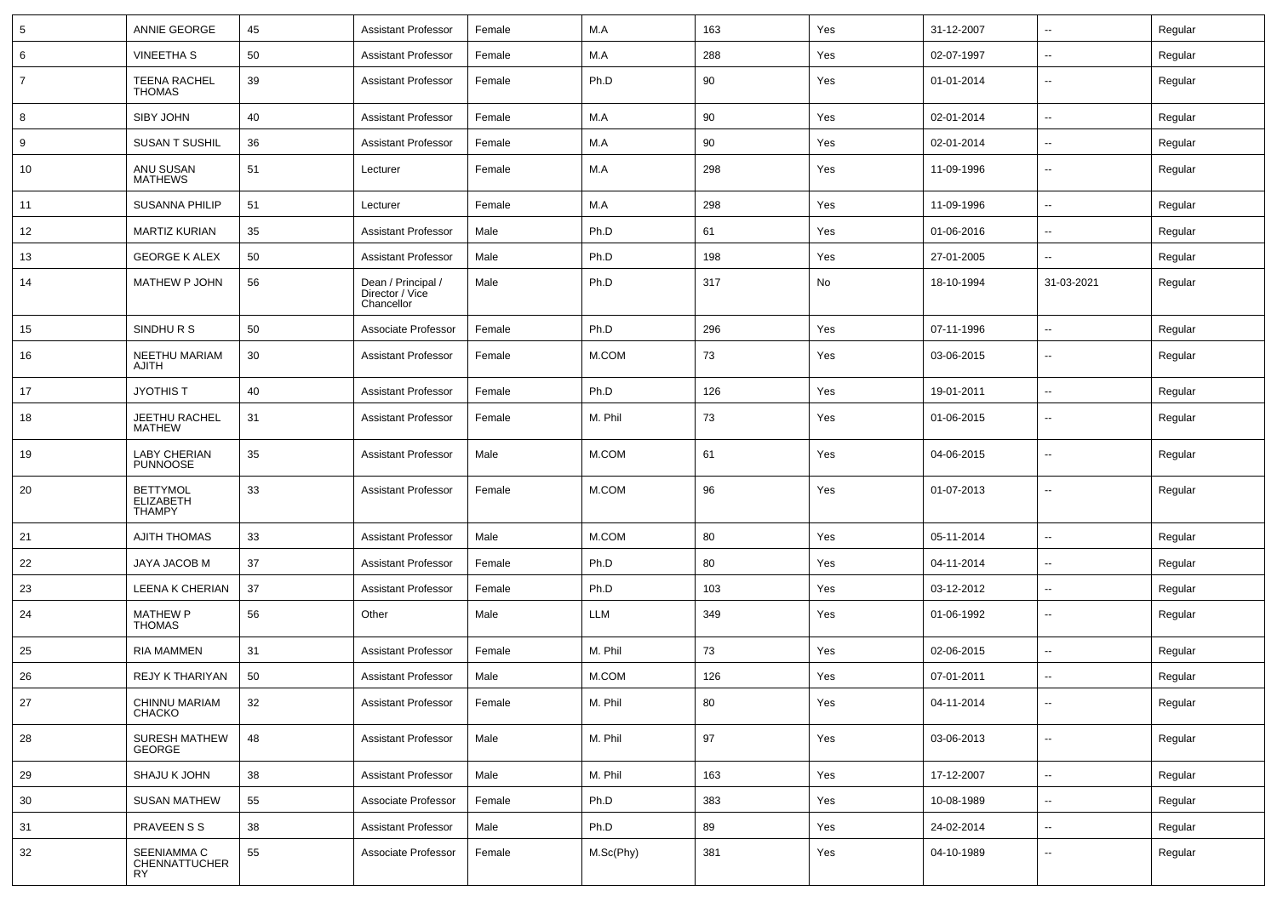| 5              | ANNIE GEORGE                              | 45 | <b>Assistant Professor</b>                          | Female | M.A       | 163 | Yes | 31-12-2007 | $\sim$                   | Regular |
|----------------|-------------------------------------------|----|-----------------------------------------------------|--------|-----------|-----|-----|------------|--------------------------|---------|
| 6              | <b>VINEETHA S</b>                         | 50 | <b>Assistant Professor</b>                          | Female | M.A       | 288 | Yes | 02-07-1997 | $\sim$                   | Regular |
| $\overline{7}$ | <b>TEENA RACHEL</b><br><b>THOMAS</b>      | 39 | <b>Assistant Professor</b>                          | Female | Ph.D      | 90  | Yes | 01-01-2014 | $\sim$                   | Regular |
| 8              | SIBY JOHN                                 | 40 | Assistant Professor                                 | Female | M.A       | 90  | Yes | 02-01-2014 | $\sim$                   | Regular |
| 9              | <b>SUSAN T SUSHIL</b>                     | 36 | <b>Assistant Professor</b>                          | Female | M.A       | 90  | Yes | 02-01-2014 | $\overline{\phantom{a}}$ | Regular |
| 10             | ANU SUSAN<br><b>MATHEWS</b>               | 51 | Lecturer                                            | Female | M.A       | 298 | Yes | 11-09-1996 | $\overline{\phantom{a}}$ | Regular |
| 11             | <b>SUSANNA PHILIP</b>                     | 51 | Lecturer                                            | Female | M.A       | 298 | Yes | 11-09-1996 | --                       | Regular |
| 12             | <b>MARTIZ KURIAN</b>                      | 35 | <b>Assistant Professor</b>                          | Male   | Ph.D      | 61  | Yes | 01-06-2016 | $\sim$                   | Regular |
| 13             | <b>GEORGE K ALEX</b>                      | 50 | <b>Assistant Professor</b>                          | Male   | Ph.D      | 198 | Yes | 27-01-2005 | $\sim$                   | Regular |
| 14             | MATHEW P JOHN                             | 56 | Dean / Principal /<br>Director / Vice<br>Chancellor | Male   | Ph.D      | 317 | No  | 18-10-1994 | 31-03-2021               | Regular |
| 15             | SINDHURS                                  | 50 | Associate Professor                                 | Female | Ph.D      | 296 | Yes | 07-11-1996 | $\sim$                   | Regular |
| 16             | NEETHU MARIAM<br><b>AJITH</b>             | 30 | <b>Assistant Professor</b>                          | Female | M.COM     | 73  | Yes | 03-06-2015 | $\sim$                   | Regular |
| 17             | <b>JYOTHIS T</b>                          | 40 | <b>Assistant Professor</b>                          | Female | Ph.D      | 126 | Yes | 19-01-2011 | $\overline{\phantom{a}}$ | Regular |
| 18             | JEETHU RACHEL<br><b>MATHEW</b>            | 31 | <b>Assistant Professor</b>                          | Female | M. Phil   | 73  | Yes | 01-06-2015 | --                       | Regular |
| 19             | LABY CHERIAN<br>PUNNOOSE                  | 35 | <b>Assistant Professor</b>                          | Male   | M.COM     | 61  | Yes | 04-06-2015 | $\overline{\phantom{a}}$ | Regular |
| 20             | BETTYMOL<br>ELIZABETH<br><b>THAMPY</b>    | 33 | <b>Assistant Professor</b>                          | Female | M.COM     | 96  | Yes | 01-07-2013 | --                       | Regular |
| 21             | <b>AJITH THOMAS</b>                       | 33 | <b>Assistant Professor</b>                          | Male   | M.COM     | 80  | Yes | 05-11-2014 | ⊷.                       | Regular |
| 22             | JAYA JACOB M                              | 37 | <b>Assistant Professor</b>                          | Female | Ph.D      | 80  | Yes | 04-11-2014 | $\overline{\phantom{a}}$ | Regular |
| 23             | LEENA K CHERIAN                           | 37 | <b>Assistant Professor</b>                          | Female | Ph.D      | 103 | Yes | 03-12-2012 | $\overline{\phantom{a}}$ | Regular |
| 24             | <b>MATHEW P</b><br><b>THOMAS</b>          | 56 | Other                                               | Male   | LLM       | 349 | Yes | 01-06-1992 | $\overline{\phantom{a}}$ | Regular |
| 25             | <b>RIA MAMMEN</b>                         | 31 | <b>Assistant Professor</b>                          | Female | M. Phil   | 73  | Yes | 02-06-2015 | $\overline{\phantom{a}}$ | Regular |
| 26             | REJY K THARIYAN                           | 50 | <b>Assistant Professor</b>                          | Male   | M.COM     | 126 | Yes | 07-01-2011 | $\overline{\phantom{a}}$ | Regular |
| 27             | CHINNU MARIAM<br><b>CHACKO</b>            | 32 | <b>Assistant Professor</b>                          | Female | M. Phil   | 80  | Yes | 04-11-2014 | $\sim$                   | Regular |
| 28             | <b>SURESH MATHEW</b><br>GEORGE            | 48 | <b>Assistant Professor</b>                          | Male   | M. Phil   | 97  | Yes | 03-06-2013 | $\sim$                   | Regular |
| 29             | <b>SHAJU K JOHN</b>                       | 38 | <b>Assistant Professor</b>                          | Male   | M. Phil   | 163 | Yes | 17-12-2007 | $\sim$                   | Regular |
| 30             | <b>SUSAN MATHEW</b>                       | 55 | Associate Professor                                 | Female | Ph.D      | 383 | Yes | 10-08-1989 | $\sim$                   | Regular |
| 31             | PRAVEEN S S                               | 38 | <b>Assistant Professor</b>                          | Male   | Ph.D      | 89  | Yes | 24-02-2014 | $\sim$                   | Regular |
| 32             | SEENIAMMA C<br>CHENNATTUCHER<br><b>RY</b> | 55 | Associate Professor                                 | Female | M.Sc(Phy) | 381 | Yes | 04-10-1989 | $\overline{\phantom{a}}$ | Regular |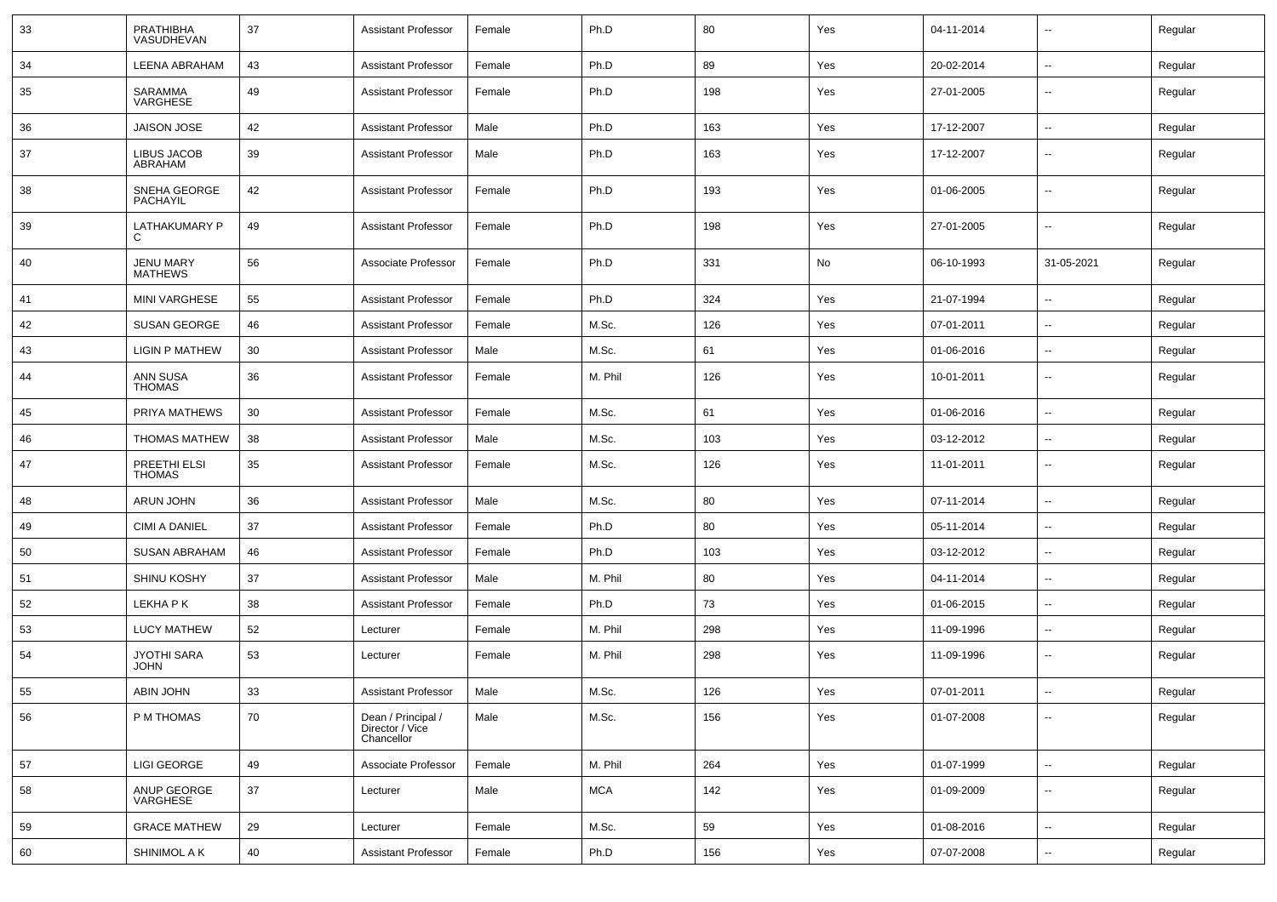| 33 | <b>PRATHIBHA</b><br>VASUDHEVAN     | 37 | <b>Assistant Professor</b>                          | Female | Ph.D       | 80  | Yes | 04-11-2014 | $\overline{\phantom{a}}$ | Regular |
|----|------------------------------------|----|-----------------------------------------------------|--------|------------|-----|-----|------------|--------------------------|---------|
| 34 | <b>LEENA ABRAHAM</b>               | 43 | <b>Assistant Professor</b>                          | Female | Ph.D       | 89  | Yes | 20-02-2014 | ⊷.                       | Regular |
| 35 | SARAMMA<br>VARGHESE                | 49 | <b>Assistant Professor</b>                          | Female | Ph.D       | 198 | Yes | 27-01-2005 | $\overline{\phantom{a}}$ | Regular |
| 36 | <b>JAISON JOSE</b>                 | 42 | <b>Assistant Professor</b>                          | Male   | Ph.D       | 163 | Yes | 17-12-2007 | $\overline{\phantom{a}}$ | Regular |
| 37 | LIBUS JACOB<br>ABRAHAM             | 39 | <b>Assistant Professor</b>                          | Male   | Ph.D       | 163 | Yes | 17-12-2007 | --                       | Regular |
| 38 | SNEHA GEORGE<br>PACHAYIL           | 42 | <b>Assistant Professor</b>                          | Female | Ph.D       | 193 | Yes | 01-06-2005 | $\overline{\phantom{a}}$ | Regular |
| 39 | LATHAKUMARY P<br>C                 | 49 | <b>Assistant Professor</b>                          | Female | Ph.D       | 198 | Yes | 27-01-2005 | $\overline{\phantom{a}}$ | Regular |
| 40 | <b>JENU MARY</b><br><b>MATHEWS</b> | 56 | Associate Professor                                 | Female | Ph.D       | 331 | No  | 06-10-1993 | 31-05-2021               | Regular |
| 41 | <b>MINI VARGHESE</b>               | 55 | <b>Assistant Professor</b>                          | Female | Ph.D       | 324 | Yes | 21-07-1994 | $\overline{\phantom{a}}$ | Regular |
| 42 | <b>SUSAN GEORGE</b>                | 46 | <b>Assistant Professor</b>                          | Female | M.Sc.      | 126 | Yes | 07-01-2011 | --                       | Regular |
| 43 | <b>LIGIN P MATHEW</b>              | 30 | <b>Assistant Professor</b>                          | Male   | M.Sc.      | 61  | Yes | 01-06-2016 | $\overline{\phantom{a}}$ | Regular |
| 44 | ANN SUSA<br><b>THOMAS</b>          | 36 | <b>Assistant Professor</b>                          | Female | M. Phil    | 126 | Yes | 10-01-2011 | --                       | Regular |
| 45 | PRIYA MATHEWS                      | 30 | <b>Assistant Professor</b>                          | Female | M.Sc.      | 61  | Yes | 01-06-2016 | $\overline{\phantom{a}}$ | Regular |
| 46 | <b>THOMAS MATHEW</b>               | 38 | <b>Assistant Professor</b>                          | Male   | M.Sc.      | 103 | Yes | 03-12-2012 | ⊷.                       | Regular |
| 47 | PREETHI ELSI<br><b>THOMAS</b>      | 35 | <b>Assistant Professor</b>                          | Female | M.Sc.      | 126 | Yes | 11-01-2011 | $\overline{\phantom{a}}$ | Regular |
| 48 | ARUN JOHN                          | 36 | <b>Assistant Professor</b>                          | Male   | M.Sc.      | 80  | Yes | 07-11-2014 | $\overline{\phantom{a}}$ | Regular |
| 49 | <b>CIMI A DANIEL</b>               | 37 | <b>Assistant Professor</b>                          | Female | Ph.D       | 80  | Yes | 05-11-2014 | --                       | Regular |
| 50 | <b>SUSAN ABRAHAM</b>               | 46 | <b>Assistant Professor</b>                          | Female | Ph.D       | 103 | Yes | 03-12-2012 | --                       | Regular |
| 51 | <b>SHINU KOSHY</b>                 | 37 | <b>Assistant Professor</b>                          | Male   | M. Phil    | 80  | Yes | 04-11-2014 | $\overline{\phantom{a}}$ | Regular |
| 52 | LEKHA P K                          | 38 | <b>Assistant Professor</b>                          | Female | Ph.D       | 73  | Yes | 01-06-2015 | $\overline{\phantom{a}}$ | Regular |
| 53 | <b>LUCY MATHEW</b>                 | 52 | Lecturer                                            | Female | M. Phil    | 298 | Yes | 11-09-1996 | ⊷.                       | Regular |
| 54 | JYOTHI SARA<br><b>JOHN</b>         | 53 | Lecturer                                            | Female | M. Phil    | 298 | Yes | 11-09-1996 | $\overline{\phantom{a}}$ | Regular |
| 55 | ABIN JOHN                          | 33 | <b>Assistant Professor</b>                          | Male   | M.Sc.      | 126 | Yes | 07-01-2011 | $\sim$                   | Regular |
| 56 | P M THOMAS                         | 70 | Dean / Principal /<br>Director / Vice<br>Chancellor | Male   | M.Sc.      | 156 | Yes | 01-07-2008 | $\overline{\phantom{a}}$ | Regular |
| 57 | <b>LIGI GEORGE</b>                 | 49 | Associate Professor                                 | Female | M. Phil    | 264 | Yes | 01-07-1999 | н.                       | Regular |
| 58 | ANUP GEORGE<br>VARGHESE            | 37 | Lecturer                                            | Male   | <b>MCA</b> | 142 | Yes | 01-09-2009 | $\overline{\phantom{a}}$ | Regular |
| 59 | <b>GRACE MATHEW</b>                | 29 | Lecturer                                            | Female | M.Sc.      | 59  | Yes | 01-08-2016 | $\overline{\phantom{a}}$ | Regular |
| 60 | SHINIMOL A K                       | 40 | <b>Assistant Professor</b>                          | Female | Ph.D       | 156 | Yes | 07-07-2008 | н.                       | Regular |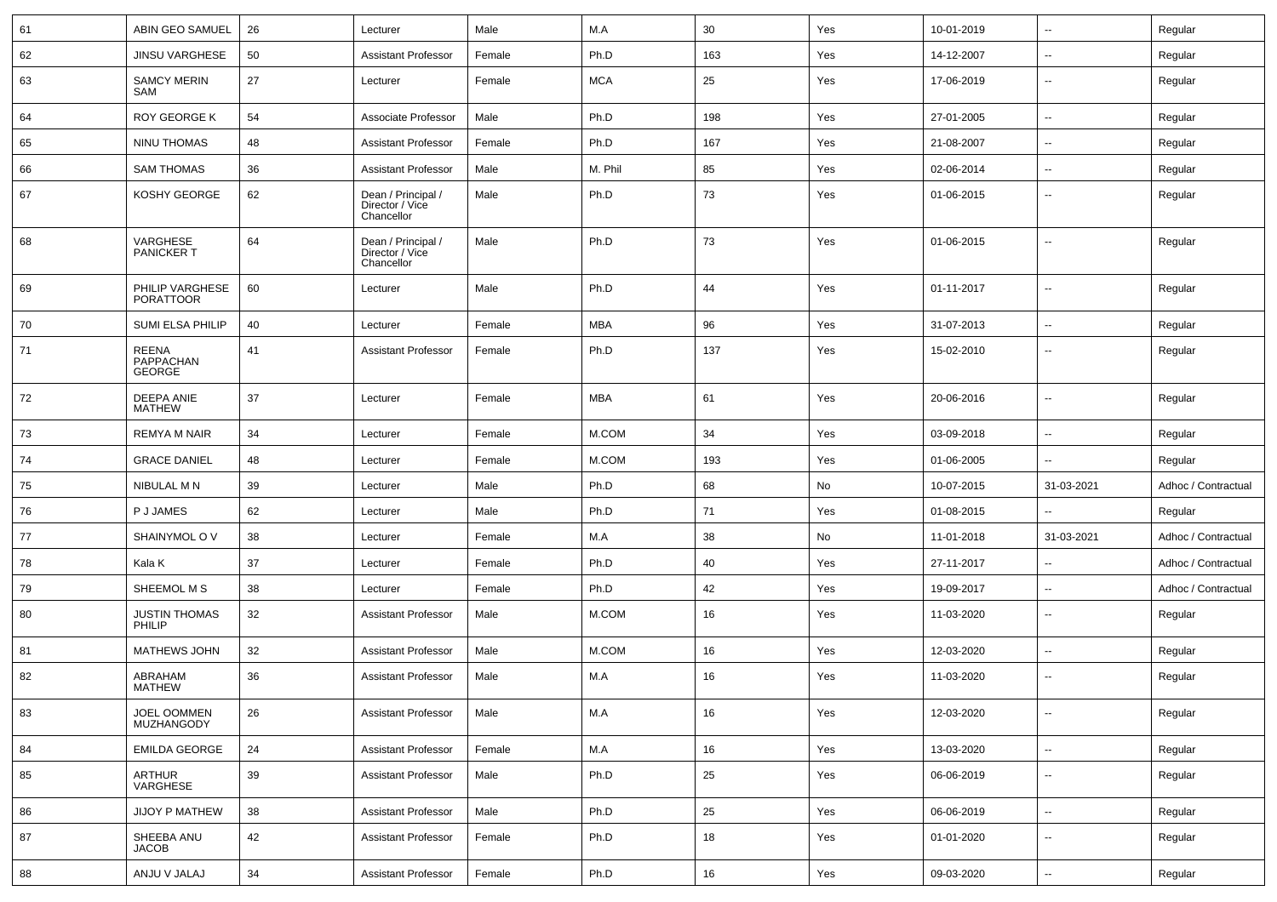| 61 | <b>ABIN GEO SAMUEL</b>                     | 26 | Lecturer                                            | Male   | M.A        | 30  | Yes | 10-01-2019 | $\sim$                   | Regular             |
|----|--------------------------------------------|----|-----------------------------------------------------|--------|------------|-----|-----|------------|--------------------------|---------------------|
| 62 | <b>JINSU VARGHESE</b>                      | 50 | <b>Assistant Professor</b>                          | Female | Ph.D       | 163 | Yes | 14-12-2007 | $\sim$                   | Regular             |
| 63 | <b>SAMCY MERIN</b><br>SAM                  | 27 | Lecturer                                            | Female | <b>MCA</b> | 25  | Yes | 17-06-2019 | $\overline{\phantom{a}}$ | Regular             |
| 64 | <b>ROY GEORGE K</b>                        | 54 | Associate Professor                                 | Male   | Ph.D       | 198 | Yes | 27-01-2005 | $\overline{\phantom{a}}$ | Regular             |
| 65 | NINU THOMAS                                | 48 | <b>Assistant Professor</b>                          | Female | Ph.D       | 167 | Yes | 21-08-2007 |                          | Regular             |
| 66 | <b>SAM THOMAS</b>                          | 36 | <b>Assistant Professor</b>                          | Male   | M. Phil    | 85  | Yes | 02-06-2014 | $\overline{\phantom{a}}$ | Regular             |
| 67 | KOSHY GEORGE                               | 62 | Dean / Principal /<br>Director / Vice<br>Chancellor | Male   | Ph.D       | 73  | Yes | 01-06-2015 | $\overline{\phantom{a}}$ | Regular             |
| 68 | VARGHESE<br><b>PANICKERT</b>               | 64 | Dean / Principal /<br>Director / Vice<br>Chancellor | Male   | Ph.D       | 73  | Yes | 01-06-2015 | $\overline{\phantom{a}}$ | Regular             |
| 69 | PHILIP VARGHESE<br><b>PORATTOOR</b>        | 60 | Lecturer                                            | Male   | Ph.D       | 44  | Yes | 01-11-2017 | $\overline{\phantom{a}}$ | Regular             |
| 70 | SUMI ELSA PHILIP                           | 40 | Lecturer                                            | Female | <b>MBA</b> | 96  | Yes | 31-07-2013 | $\overline{\phantom{a}}$ | Regular             |
| 71 | <b>REENA</b><br>PAPPACHAN<br><b>GEORGE</b> | 41 | Assistant Professor                                 | Female | Ph.D       | 137 | Yes | 15-02-2010 | --                       | Regular             |
| 72 | <b>DEEPA ANIE</b><br><b>MATHEW</b>         | 37 | Lecturer                                            | Female | <b>MBA</b> | 61  | Yes | 20-06-2016 | $\overline{\phantom{a}}$ | Regular             |
| 73 | <b>REMYA M NAIR</b>                        | 34 | Lecturer                                            | Female | M.COM      | 34  | Yes | 03-09-2018 | $\overline{\phantom{a}}$ | Regular             |
| 74 | <b>GRACE DANIEL</b>                        | 48 | Lecturer                                            | Female | M.COM      | 193 | Yes | 01-06-2005 |                          | Regular             |
| 75 | NIBULAL M N                                | 39 | Lecturer                                            | Male   | Ph.D       | 68  | No  | 10-07-2015 | 31-03-2021               | Adhoc / Contractual |
| 76 | P J JAMES                                  | 62 | Lecturer                                            | Male   | Ph.D       | 71  | Yes | 01-08-2015 | $\overline{a}$           | Regular             |
| 77 | SHAINYMOL OV                               | 38 | Lecturer                                            | Female | M.A        | 38  | No  | 11-01-2018 | 31-03-2021               | Adhoc / Contractual |
| 78 | Kala K                                     | 37 | Lecturer                                            | Female | Ph.D       | 40  | Yes | 27-11-2017 | $\overline{\phantom{a}}$ | Adhoc / Contractual |
| 79 | SHEEMOL M S                                | 38 | Lecturer                                            | Female | Ph.D       | 42  | Yes | 19-09-2017 |                          | Adhoc / Contractual |
| 80 | <b>JUSTIN THOMAS</b><br>PHILIP             | 32 | <b>Assistant Professor</b>                          | Male   | M.COM      | 16  | Yes | 11-03-2020 | $\overline{\phantom{a}}$ | Regular             |
| 81 | MATHEWS JOHN                               | 32 | <b>Assistant Professor</b>                          | Male   | M.COM      | 16  | Yes | 12-03-2020 | $\overline{\phantom{a}}$ | Regular             |
| 82 | ABRAHAM<br><b>MATHEW</b>                   | 36 | <b>Assistant Professor</b>                          | Male   | M.A        | 16  | Yes | 11-03-2020 |                          | Regular             |
| 83 | JOEL OOMMEN<br>MUZHANGODY                  | 26 | <b>Assistant Professor</b>                          | Male   | M.A        | 16  | Yes | 12-03-2020 | $\mathbf{u}$             | Regular             |
| 84 | <b>EMILDA GEORGE</b>                       | 24 | <b>Assistant Professor</b>                          | Female | M.A        | 16  | Yes | 13-03-2020 | $\sim$                   | Regular             |
| 85 | ARTHUR<br>VARGHESE                         | 39 | <b>Assistant Professor</b>                          | Male   | Ph.D       | 25  | Yes | 06-06-2019 | $\sim$                   | Regular             |
| 86 | JIJOY P MATHEW                             | 38 | <b>Assistant Professor</b>                          | Male   | Ph.D       | 25  | Yes | 06-06-2019 | $\sim$                   | Regular             |
| 87 | SHEEBA ANU<br><b>JACOB</b>                 | 42 | <b>Assistant Professor</b>                          | Female | Ph.D       | 18  | Yes | 01-01-2020 | $\sim$                   | Regular             |
| 88 | ANJU V JALAJ                               | 34 | <b>Assistant Professor</b>                          | Female | Ph.D       | 16  | Yes | 09-03-2020 | $\sim$                   | Regular             |